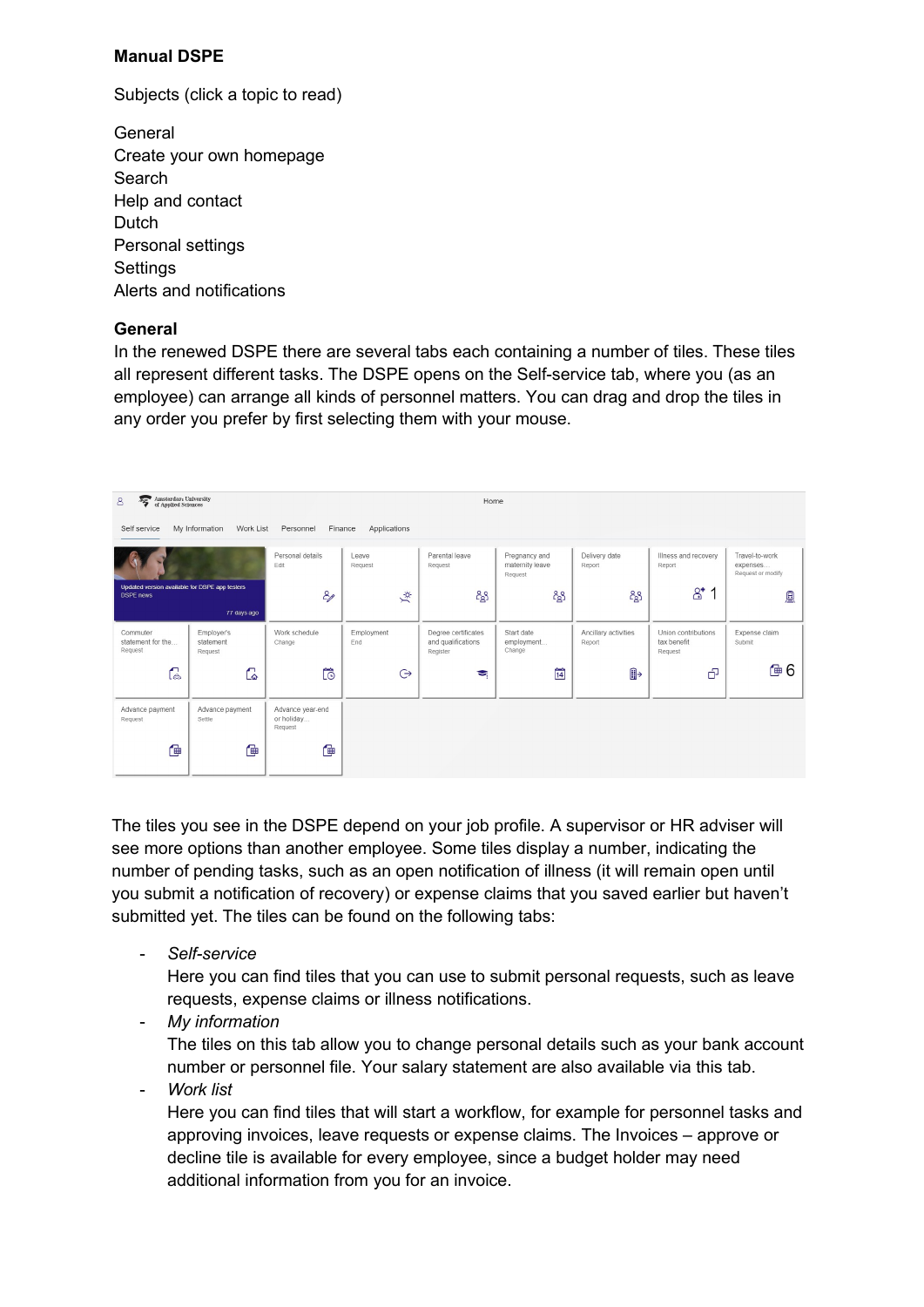# **Manual DSPE**

Subjects (click a topic to read)

**General** [Create your own homepage](#page-1-0) **[Search](#page-2-0)** [Help and contact](#page-2-0) [Dutch](#page-2-0) [Personal settings](#page-3-0) **Settings** [Alerts and n](#page-4-0)otifications

## **General**

In the renewed DSPE there are several tabs each containing a number of tiles. These tiles all represent different tasks. The DSPE opens on the Self-service tab, where you (as an employee) can arrange all kinds of personnel matters. You can drag and drop the tiles in any order you prefer by first selecting them with your mouse.



The tiles you see in the DSPE depend on your job profile. A supervisor or HR adviser will see more options than another employee. Some tiles display a number, indicating the number of pending tasks, such as an open notification of illness (it will remain open until you submit a notification of recovery) or expense claims that you saved earlier but haven't submitted yet. The tiles can be found on the following tabs:

- *Self-service*

Here you can find tiles that you can use to submit personal requests, such as leave requests, expense claims or illness notifications.

- *My information*

The tiles on this tab allow you to change personal details such as your bank account number or personnel file. Your salary statement are also available via this tab.

- *Work list*

Here you can find tiles that will start a workflow, for example for personnel tasks and approving invoices, leave requests or expense claims. The Invoices – approve or decline tile is available for every employee, since a budget holder may need additional information from you for an invoice.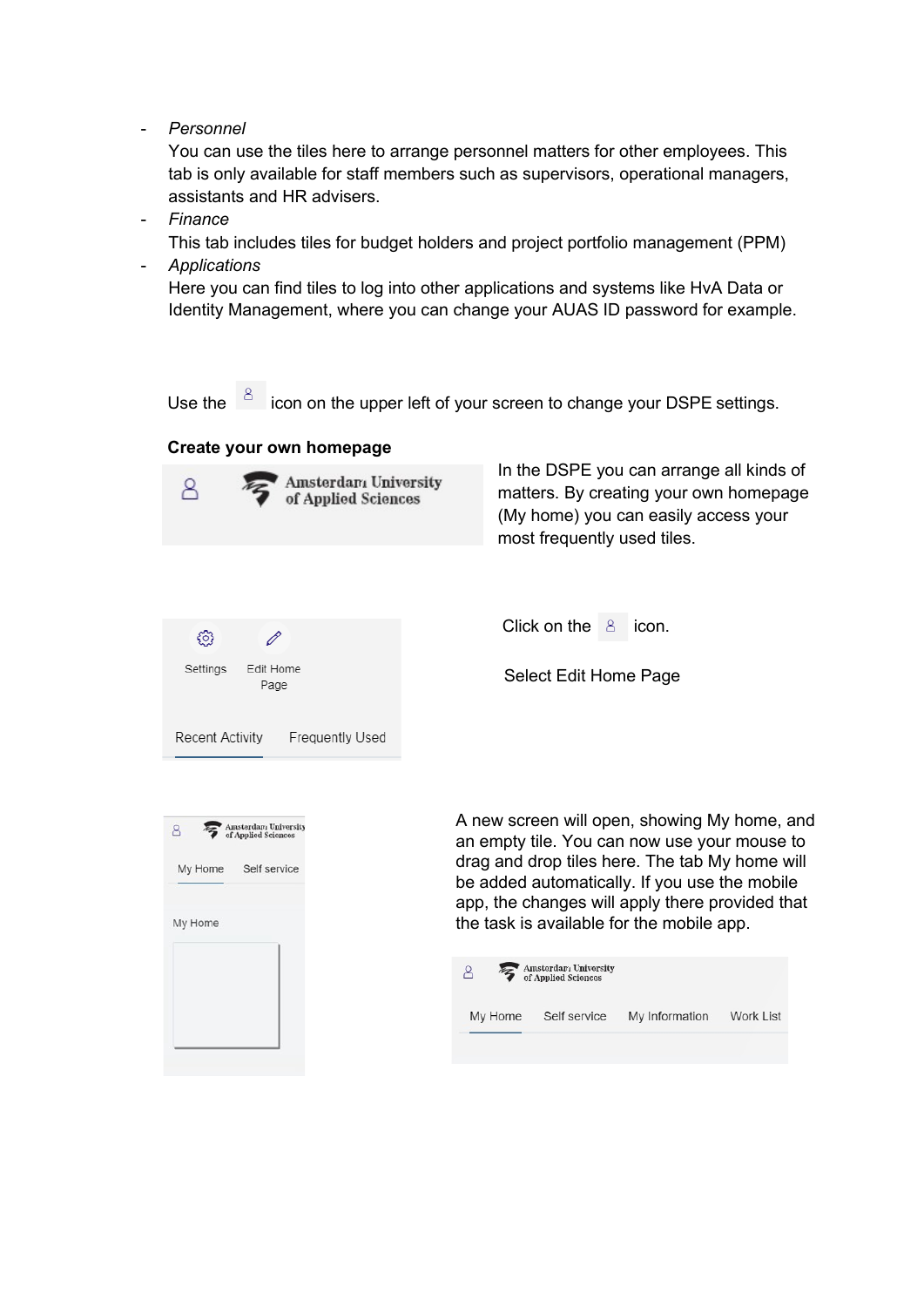<span id="page-1-0"></span>- *Personnel*

You can use the tiles here to arrange personnel matters for other employees. This tab is only available for staff members such as supervisors, operational managers, assistants and HR advisers.

- *Finance*

This tab includes tiles for budget holders and project portfolio management (PPM) - *Applications*

Here you can find tiles to log into other applications and systems like HvA Data or Identity Management, where you can change your AUAS ID password for example.

Use the  $\frac{8}{10}$  icon on the upper left of your screen to change your DSPE settings.

## **Create your own homepage**



In the DSPE you can arrange all kinds of matters. By creating your own homepage (My home) you can easily access your most frequently used tiles.

| {ô}                                       | Click on the $\beta$ icon. |
|-------------------------------------------|----------------------------|
| Edit Home<br>Settings<br>Page             | Select Edit Home Pag       |
| <b>Frequently Used</b><br>Recent Activity |                            |



A new screen will open, showing My home, and an empty tile. You can now use your mouse to drag and drop tiles here. The tab My home will be added automatically. If you use the mobile app, the changes will apply there provided that the task is available for the mobile app.

Edit Home Page

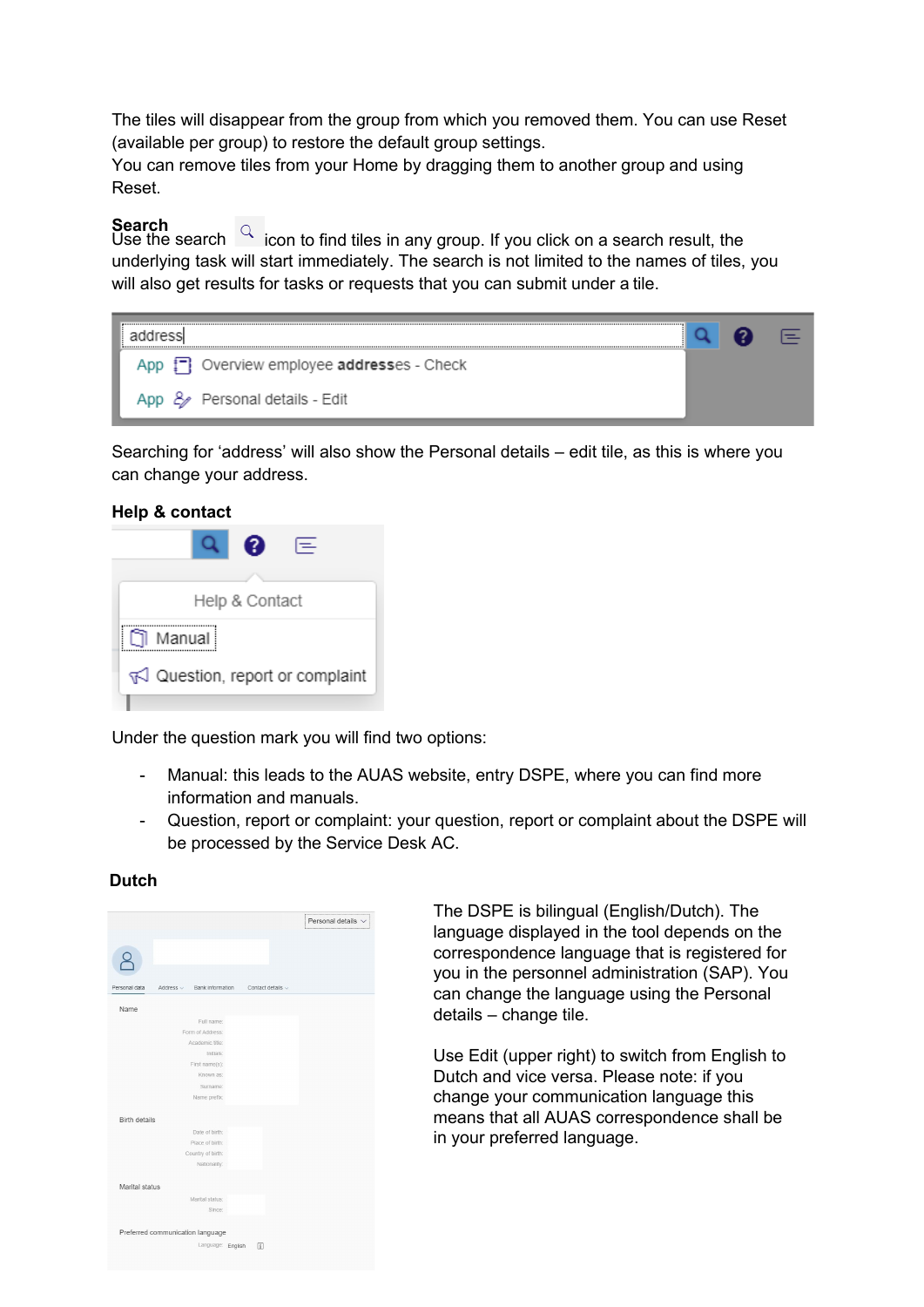<span id="page-2-0"></span>The tiles will disappear from the group from which you removed them. You can use Reset (available per group) to restore the default group settings.

You can remove tiles from your Home by dragging them to another group and using Reset.

# **Search**

Use the search  $\Box$  icon to find tiles in any group. If you click on a search result, the underlying task will start immediately. The search is not limited to the names of tiles, you will also get results for tasks or requests that you can submit under a tile.

| App $\left\lfloor -\right\rfloor$ Overview employee addresses - Check |  |  |
|-----------------------------------------------------------------------|--|--|
| App & Personal details - Edit                                         |  |  |

Searching for 'address' will also show the Personal details – edit tile, as this is where you can change your address.

#### **Help & contact**



Under the question mark you will find two options:

- Manual: this leads to the AUAS website, entry DSPE, where you can find more information and manuals.
- Question, report or complaint: your question, report or complaint about the DSPE will be processed by the Service Desk AC.

### **Dutch**



The DSPE is bilingual (English/Dutch). The language displayed in the tool depends on the correspondence language that is registered for you in the personnel administration (SAP). You can change the language using the Personal details – change tile.

Use Edit (upper right) to switch from English to Dutch and vice versa. Please note: if you change your communication language this means that all AUAS correspondence shall be in your preferred language.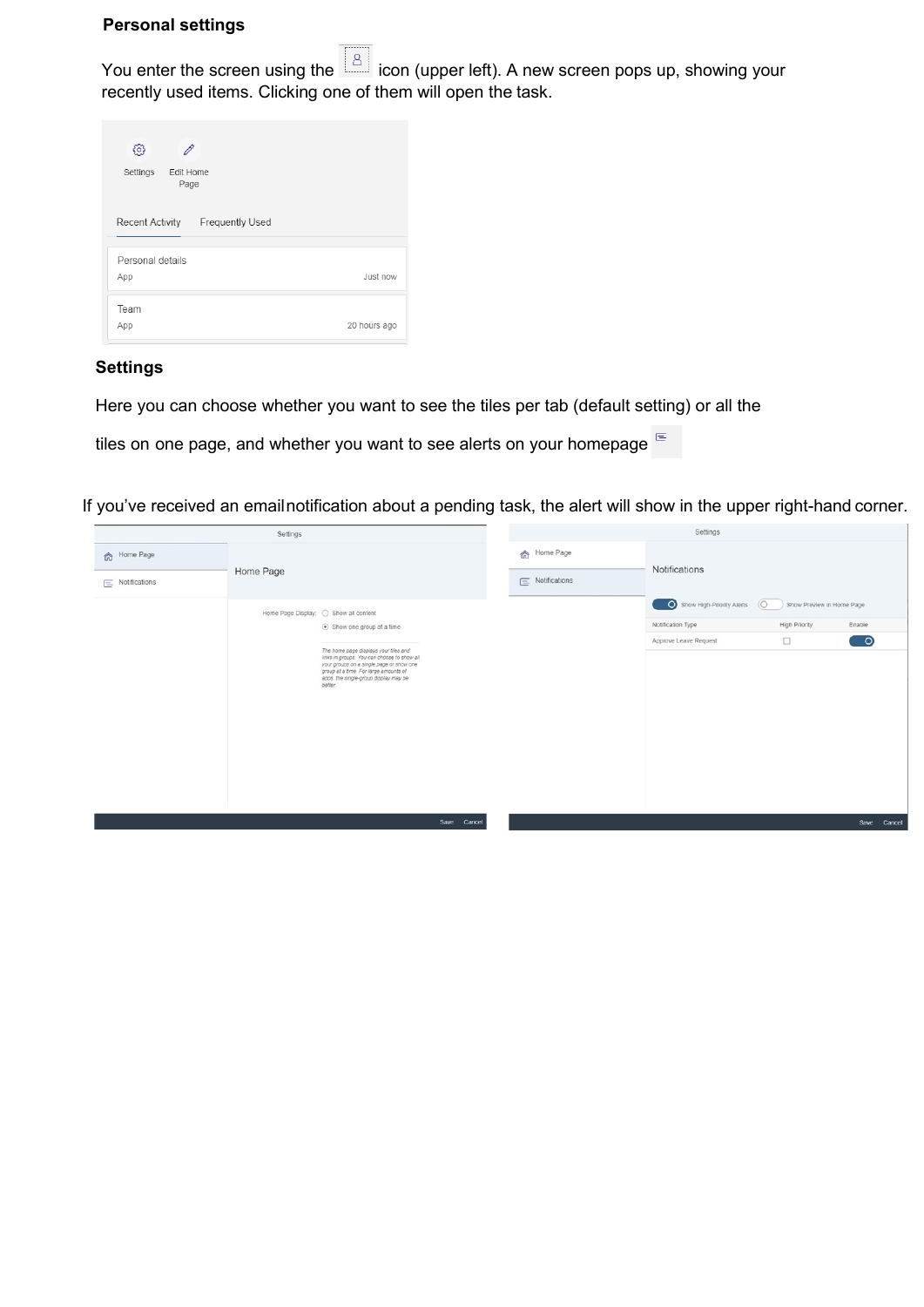#### <span id="page-3-0"></span>**Personal settings**

You enter the screen using the  $\boxed{8}$  icon (upper left). A new screen pops up, showing your recently used items. Clicking one of them will open the task.

| හි<br>Edit Home<br>Settings<br>Page              |              |
|--------------------------------------------------|--------------|
| <b>Frequently Used</b><br><b>Recent Activity</b> |              |
| Personal details<br>App                          | Just now     |
| Team<br>App                                      | 20 hours ago |

### **Settings**

Here you can choose whether you want to see the tiles per tab (default setting) or all the

tiles on one page, and whether you want to see alerts on your homepage  $e^{\frac{1}{2}t}$ 

If you've received an email notification about a pending task, the alert will show in the upper right-hand corner.

| Settings                                |                                                                                                                                                                                                                                                                                                    |  | Settings                              |                                                                                    |                                                             |                |
|-----------------------------------------|----------------------------------------------------------------------------------------------------------------------------------------------------------------------------------------------------------------------------------------------------------------------------------------------------|--|---------------------------------------|------------------------------------------------------------------------------------|-------------------------------------------------------------|----------------|
| for Home Page<br>$\equiv$ Notifications | Home Page                                                                                                                                                                                                                                                                                          |  | 命 Home Page<br>$\equiv$ Notifications | Notifications                                                                      |                                                             |                |
|                                         | Home Page Display: O Show all content<br>Show one group at a time<br>The home page displays your tiles and<br>links in groups. You can choose to show all<br>your groups on a single page or show one<br>group at a time. For large amounts of<br>apps, the single-group display may be<br>better. |  |                                       | Show High-Priority Alerts<br>$\circ$<br>Notification Type<br>Approve Leave Request | Show Preview in Home Page<br><b>High Priority</b><br>$\Box$ | Enable<br>( ဝ) |
|                                         | Save<br>Cancel                                                                                                                                                                                                                                                                                     |  |                                       |                                                                                    |                                                             | Save<br>Cancel |